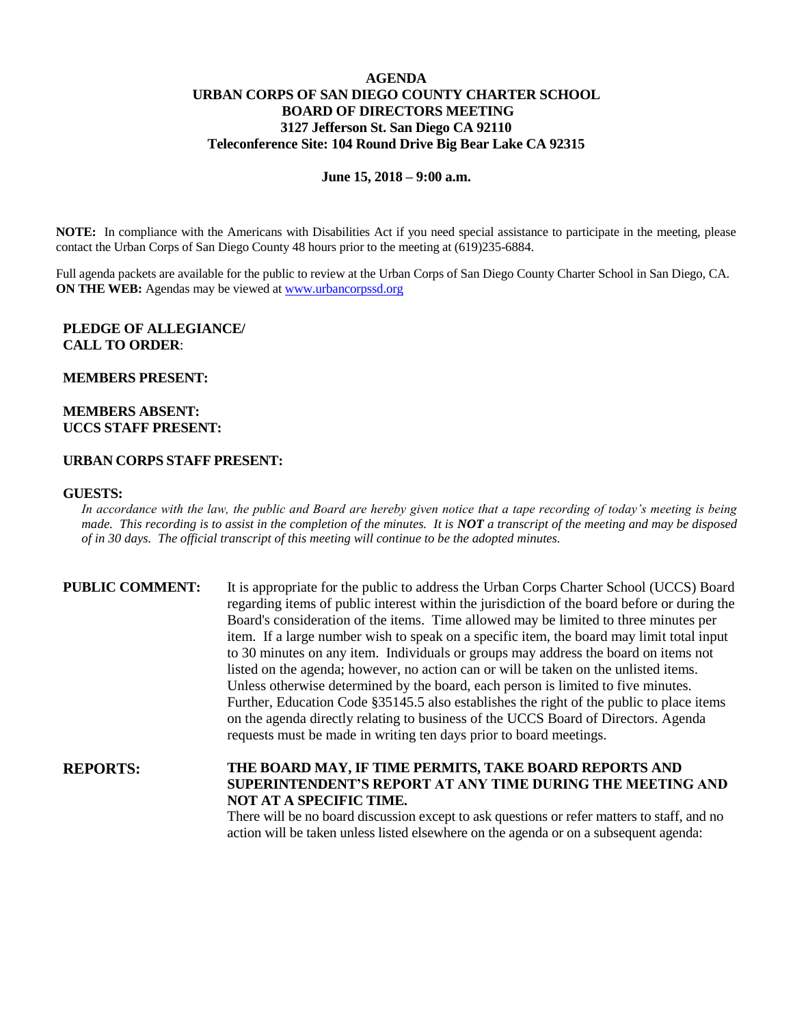### **AGENDA URBAN CORPS OF SAN DIEGO COUNTY CHARTER SCHOOL BOARD OF DIRECTORS MEETING 3127 Jefferson St. San Diego CA 92110 Teleconference Site: 104 Round Drive Big Bear Lake CA 92315**

#### **June 15, 2018 – 9:00 a.m.**

**NOTE:** In compliance with the Americans with Disabilities Act if you need special assistance to participate in the meeting, please contact the Urban Corps of San Diego County 48 hours prior to the meeting at (619)235-6884.

Full agenda packets are available for the public to review at the Urban Corps of San Diego County Charter School in San Diego, CA. **ON THE WEB:** Agendas may be viewed at [www.urbancorpssd.org](http://www.urbancorpssd.org/)

## **PLEDGE OF ALLEGIANCE/ CALL TO ORDER**:

#### **MEMBERS PRESENT:**

### **MEMBERS ABSENT: UCCS STAFF PRESENT:**

#### **URBAN CORPS STAFF PRESENT:**

#### **GUESTS:**

*In accordance with the law, the public and Board are hereby given notice that a tape recording of today's meeting is being made. This recording is to assist in the completion of the minutes. It is NOT a transcript of the meeting and may be disposed of in 30 days. The official transcript of this meeting will continue to be the adopted minutes.*

| <b>PUBLIC COMMENT:</b> | It is appropriate for the public to address the Urban Corps Charter School (UCCS) Board<br>regarding items of public interest within the jurisdiction of the board before or during the |
|------------------------|-----------------------------------------------------------------------------------------------------------------------------------------------------------------------------------------|
|                        |                                                                                                                                                                                         |
|                        | Board's consideration of the items. Time allowed may be limited to three minutes per                                                                                                    |
|                        | item. If a large number wish to speak on a specific item, the board may limit total input                                                                                               |
|                        | to 30 minutes on any item. Individuals or groups may address the board on items not                                                                                                     |
|                        | listed on the agenda; however, no action can or will be taken on the unlisted items.                                                                                                    |
|                        | Unless otherwise determined by the board, each person is limited to five minutes.                                                                                                       |
|                        | Further, Education Code §35145.5 also establishes the right of the public to place items                                                                                                |
|                        | on the agenda directly relating to business of the UCCS Board of Directors. Agenda                                                                                                      |
|                        | requests must be made in writing ten days prior to board meetings.                                                                                                                      |
| <b>REPORTS:</b>        | THE BOARD MAY, IF TIME PERMITS, TAKE BOARD REPORTS AND                                                                                                                                  |
|                        | SUPERINTENDENT'S REPORT AT ANY TIME DURING THE MEETING AND                                                                                                                              |
|                        | <b>NOT AT A SPECIFIC TIME.</b>                                                                                                                                                          |
|                        | There will be no board discussion except to ask questions or refer matters to staff and no                                                                                              |

There will be no board discussion except to ask questions or refer matters to staff, and no action will be taken unless listed elsewhere on the agenda or on a subsequent agenda: